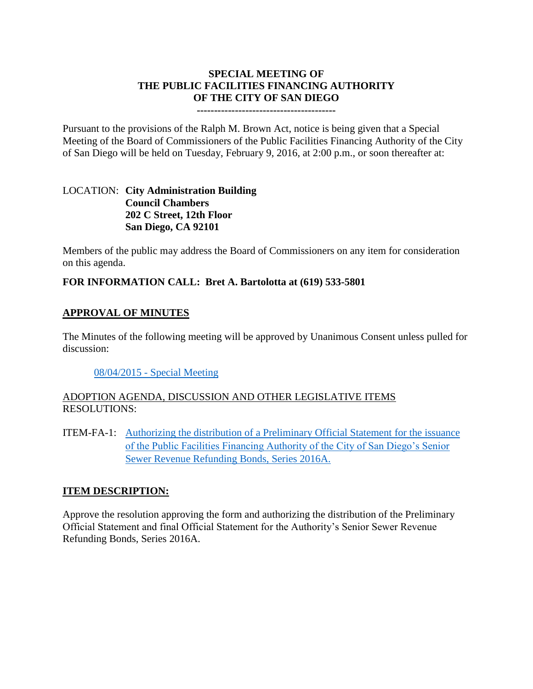## **SPECIAL MEETING OF THE PUBLIC FACILITIES FINANCING AUTHORITY OF THE CITY OF SAN DIEGO**

#### **----------------------------------------**

Pursuant to the provisions of the Ralph M. Brown Act, notice is being given that a Special Meeting of the Board of Commissioners of the Public Facilities Financing Authority of the City of San Diego will be held on Tuesday, February 9, 2016, at 2:00 p.m., or soon thereafter at:

## LOCATION: **City Administration Building Council Chambers 202 C Street, 12th Floor San Diego, CA 92101**

Members of the public may address the Board of Commissioners on any item for consideration on this agenda.

## **FOR INFORMATION CALL: Bret A. Bartolotta at (619) 533-5801**

## **APPROVAL OF MINUTES**

The Minutes of the following meeting will be approved by Unanimous Consent unless pulled for discussion:

### 08/04/2015 - [Special Meeting](http://www.sandiego.gov/sites/default/files/pffa_minutes.pdf)

# ADOPTION AGENDA, DISCUSSION AND OTHER LEGISLATIVE ITEMS RESOLUTIONS:

ITEM-FA-1: [Authorizing the distribution of a Preliminary Official Statement](http://www.sandiego.gov/sites/default/files/pffa_fa-1_exhibits.pdf) for the issuance [of the Public Facilities Financing Authority of the City of San Diego's Senior](http://www.sandiego.gov/sites/default/files/pffa_fa-1_exhibits.pdf)  [Sewer Revenue Refunding Bonds, Series 2016A.](http://www.sandiego.gov/sites/default/files/pffa_fa-1_exhibits.pdf)

### **ITEM DESCRIPTION:**

Approve the resolution approving the form and authorizing the distribution of the Preliminary Official Statement and final Official Statement for the Authority's Senior Sewer Revenue Refunding Bonds, Series 2016A.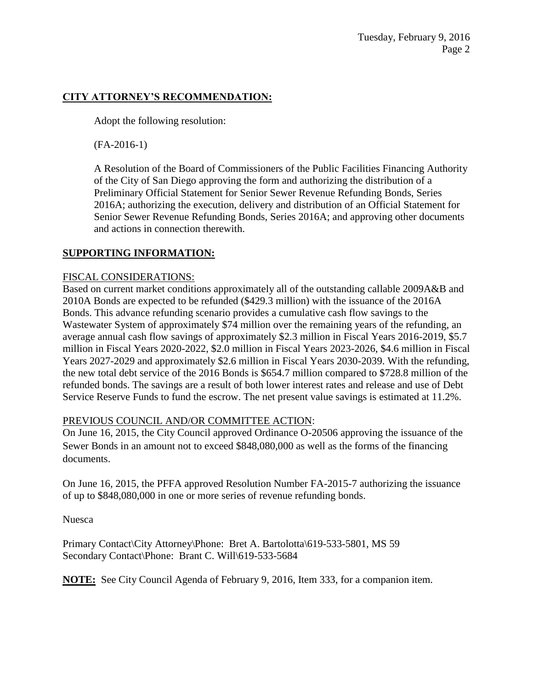# **CITY ATTORNEY'S RECOMMENDATION:**

Adopt the following resolution:

(FA-2016-1)

A Resolution of the Board of Commissioners of the Public Facilities Financing Authority of the City of San Diego approving the form and authorizing the distribution of a Preliminary Official Statement for Senior Sewer Revenue Refunding Bonds, Series 2016A; authorizing the execution, delivery and distribution of an Official Statement for Senior Sewer Revenue Refunding Bonds, Series 2016A; and approving other documents and actions in connection therewith.

# **SUPPORTING INFORMATION:**

### FISCAL CONSIDERATIONS:

Based on current market conditions approximately all of the outstanding callable 2009A&B and 2010A Bonds are expected to be refunded (\$429.3 million) with the issuance of the 2016A Bonds. This advance refunding scenario provides a cumulative cash flow savings to the Wastewater System of approximately \$74 million over the remaining years of the refunding, an average annual cash flow savings of approximately \$2.3 million in Fiscal Years 2016-2019, \$5.7 million in Fiscal Years 2020-2022, \$2.0 million in Fiscal Years 2023-2026, \$4.6 million in Fiscal Years 2027-2029 and approximately \$2.6 million in Fiscal Years 2030-2039. With the refunding, the new total debt service of the 2016 Bonds is \$654.7 million compared to \$728.8 million of the refunded bonds. The savings are a result of both lower interest rates and release and use of Debt Service Reserve Funds to fund the escrow. The net present value savings is estimated at 11.2%.

# PREVIOUS COUNCIL AND/OR COMMITTEE ACTION:

On June 16, 2015, the City Council approved Ordinance O-20506 approving the issuance of the Sewer Bonds in an amount not to exceed \$848,080,000 as well as the forms of the financing documents.

On June 16, 2015, the PFFA approved Resolution Number FA-2015-7 authorizing the issuance of up to \$848,080,000 in one or more series of revenue refunding bonds.

Nuesca

Primary Contact\City Attorney\Phone: Bret A. Bartolotta\619-533-5801, MS 59 Secondary Contact\Phone: Brant C. Will\619-533-5684

**NOTE:** See City Council Agenda of February 9, 2016, Item 333, for a companion item.